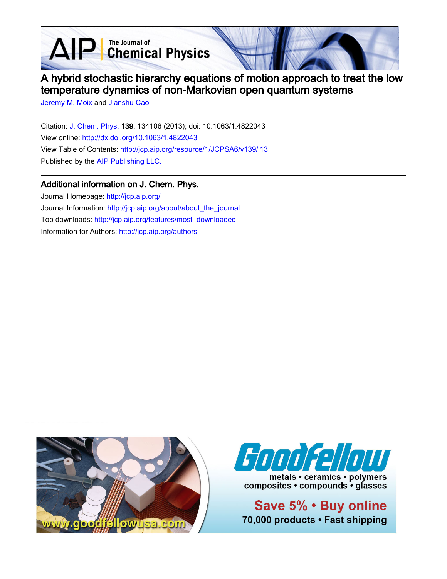AIP Chemical Physics



# A hybrid stochastic hierarchy equations of motion approach to treat the low temperature dynamics of non-Markovian open quantum systems

[Jeremy M. Moix](http://jcp.aip.org/search?sortby=newestdate&q=&searchzone=2&searchtype=searchin&faceted=faceted&key=AIP_ALL&possible1=Jeremy M. Moix&possible1zone=author&alias=&displayid=AIP&ver=pdfcov) and [Jianshu Cao](http://jcp.aip.org/search?sortby=newestdate&q=&searchzone=2&searchtype=searchin&faceted=faceted&key=AIP_ALL&possible1=Jianshu Cao&possible1zone=author&alias=&displayid=AIP&ver=pdfcov)

Citation: [J. Chem. Phys. 1](http://jcp.aip.org/?ver=pdfcov)39, 134106 (2013); doi: 10.1063/1.4822043 View online: [http://dx.doi.org/10.1063/1.4822043](http://link.aip.org/link/doi/10.1063/1.4822043?ver=pdfcov) View Table of Contents: [http://jcp.aip.org/resource/1/JCPSA6/v139/i13](http://jcp.aip.org/resource/1/JCPSA6/v139/i13?ver=pdfcov) Published by the [AIP Publishing LLC.](http://www.aip.org/?ver=pdfcov)

# Additional information on J. Chem. Phys.

Journal Homepage: [http://jcp.aip.org/](http://jcp.aip.org/?ver=pdfcov) Journal Information: [http://jcp.aip.org/about/about\\_the\\_journal](http://jcp.aip.org/about/about_the_journal?ver=pdfcov) Top downloads: [http://jcp.aip.org/features/most\\_downloaded](http://jcp.aip.org/features/most_downloaded?ver=pdfcov) Information for Authors: [http://jcp.aip.org/authors](http://jcp.aip.org/authors?ver=pdfcov)





metals • ceramics • polymers composites • compounds • glasses

Save 5% . Buy online 70,000 products · Fast shipping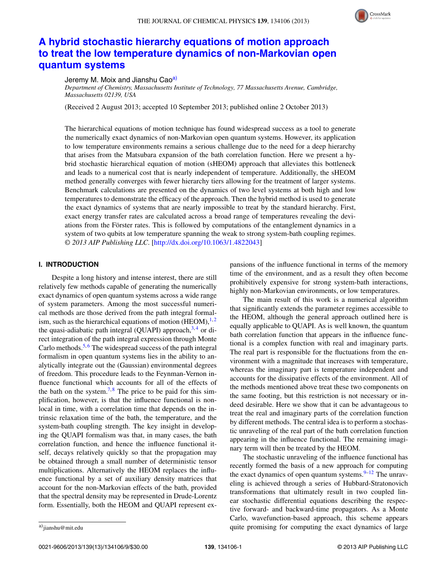

# **[A hybrid stochastic hierarchy equations of motion approach](http://dx.doi.org/10.1063/1.4822043) [to treat the low temperature dynamics of non-Markovian open](http://dx.doi.org/10.1063/1.4822043) [quantum systems](http://dx.doi.org/10.1063/1.4822043)**

# Jeremy M. Moix and Jianshu Ca[oa\)](#page-1-0)

*Department of Chemistry, Massachusetts Institute of Technology, 77 Massachusetts Avenue, Cambridge, Massachusetts 02139, USA*

(Received 2 August 2013; accepted 10 September 2013; published online 2 October 2013)

The hierarchical equations of motion technique has found widespread success as a tool to generate the numerically exact dynamics of non-Markovian open quantum systems. However, its application to low temperature environments remains a serious challenge due to the need for a deep hierarchy that arises from the Matsubara expansion of the bath correlation function. Here we present a hybrid stochastic hierarchical equation of motion (sHEOM) approach that alleviates this bottleneck and leads to a numerical cost that is nearly independent of temperature. Additionally, the sHEOM method generally converges with fewer hierarchy tiers allowing for the treatment of larger systems. Benchmark calculations are presented on the dynamics of two level systems at both high and low temperatures to demonstrate the efficacy of the approach. Then the hybrid method is used to generate the exact dynamics of systems that are nearly impossible to treat by the standard hierarchy. First, exact energy transfer rates are calculated across a broad range of temperatures revealing the deviations from the Förster rates. This is followed by computations of the entanglement dynamics in a system of two qubits at low temperature spanning the weak to strong system-bath coupling regimes. *© 2013 AIP Publishing LLC*. [\[http://dx.doi.org/10.1063/1.4822043\]](http://dx.doi.org/10.1063/1.4822043)

# **I. INTRODUCTION**

Despite a long history and intense interest, there are still relatively few methods capable of generating the numerically exact dynamics of open quantum systems across a wide range of system parameters. Among the most successful numerical methods are those derived from the path integral formalism, such as the hierarchical equations of motion  $(HEOM)$ ,<sup>[1,](#page-9-0)[2](#page-9-1)</sup> the quasi-adiabatic path integral (QUAPI) approach,  $3,4$  $3,4$  or direct integration of the path integral expression through Monte Carlo methods.<sup>5,[6](#page-9-5)</sup> The widespread success of the path integral formalism in open quantum systems lies in the ability to analytically integrate out the (Gaussian) environmental degrees of freedom. This procedure leads to the Feynman-Vernon influence functional which accounts for all of the effects of the bath on the system.<sup>[7,](#page-9-6)[8](#page-9-7)</sup> The price to be paid for this simplification, however, is that the influence functional is nonlocal in time, with a correlation time that depends on the intrinsic relaxation time of the bath, the temperature, and the system-bath coupling strength. The key insight in developing the QUAPI formalism was that, in many cases, the bath correlation function, and hence the influence functional itself, decays relatively quickly so that the propagation may be obtained through a small number of deterministic tensor multiplications. Alternatively the HEOM replaces the influence functional by a set of auxiliary density matrices that account for the non-Markovian effects of the bath, provided that the spectral density may be represented in Drude-Lorentz form. Essentially, both the HEOM and QUAPI represent ex-

The main result of this work is a numerical algorithm that significantly extends the parameter regimes accessible to the HEOM, although the general approach outlined here is equally applicable to QUAPI. As is well known, the quantum bath correlation function that appears in the influence functional is a complex function with real and imaginary parts. The real part is responsible for the fluctuations from the environment with a magnitude that increases with temperature, whereas the imaginary part is temperature independent and accounts for the dissipative effects of the environment. All of the methods mentioned above treat these two components on the same footing, but this restriction is not necessary or indeed desirable. Here we show that it can be advantageous to treat the real and imaginary parts of the correlation function by different methods. The central idea is to perform a stochastic unraveling of the real part of the bath correlation function appearing in the influence functional. The remaining imaginary term will then be treated by the HEOM.

The stochastic unraveling of the influence functional has recently formed the basis of a new approach for computing the exact dynamics of open quantum systems. $9-12$  $9-12$  The unraveling is achieved through a series of Hubbard-Stratonovich transformations that ultimately result in two coupled linear stochastic differential equations describing the respective forward- and backward-time propagators. As a Monte Carlo, wavefunction-based approach, this scheme appears quite promising for computing the exact dynamics of large

pansions of the influence functional in terms of the memory time of the environment, and as a result they often become prohibitively expensive for strong system-bath interactions, highly non-Markovian environments, or low temperatures.

<span id="page-1-0"></span>a[\)jianshu@mit.edu](mailto: jianshu@mit.edu)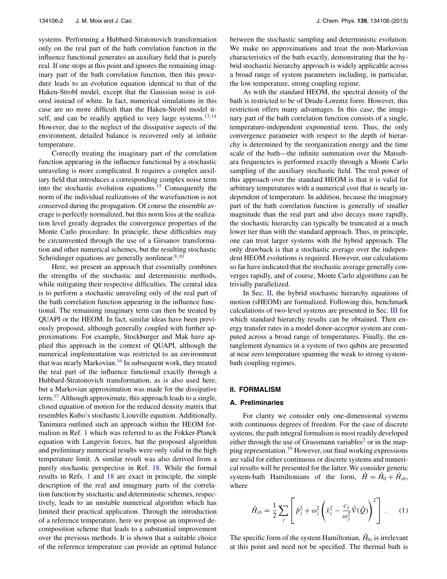systems. Performing a Hubbard-Stratonovich transformation only on the real part of the bath correlation function in the influence functional generates an auxiliary field that is purely real. If one stops at this point and ignores the remaining imaginary part of the bath correlation function, then this procedure leads to an evolution equation identical to that of the Haken-Strobl model, except that the Gaussian noise is colored instead of white. In fact, numerical simulations in this case are no more difficult than the Haken-Strobl model itself, and can be readily applied to very large systems.  $13,14$  $13,14$ However, due to the neglect of the dissipative aspects of the environment, detailed balance is recovered only at infinite temperature.

Correctly treating the imaginary part of the correlation function appearing in the influence functional by a stochastic unraveling is more complicated. It requires a complex auxiliary field that introduces a corresponding complex noise term into the stochastic evolution equations.<sup>15</sup> Consequently the norm of the individual realizations of the wavefunction is not conserved during the propagation. Of course the ensemble average is perfectly normalized, but this norm loss at the realization level greatly degrades the convergence properties of the Monte Carlo procedure. In principle, these difficulties may be circumvented through the use of a Girsanov transformation and other numerical schemes, but the resulting stochastic Schrödinger equations are generally nonlinear.<sup>9, [10](#page-9-13)</sup>

Here, we present an approach that essentially combines the strengths of the stochastic and deterministic methods, while mitigating their respective difficulties. The central idea is to perform a stochastic unraveling only of the real part of the bath correlation function appearing in the influence functional. The remaining imaginary term can then be treated by QUAPI or the HEOM. In fact, similar ideas have been previously proposed, although generally coupled with further approximations. For example, Stockburger and Mak have applied this approach in the context of QUAPI, although the numerical implementation was restricted to an environment that was nearly Markovian.<sup>16</sup> In subsequent work, they treated the real part of the influence functional exactly through a Hubbard-Stratonovich transformation, as is also used here, but a Markovian approximation was made for the dissipative term.<sup>[17](#page-9-15)</sup> Although approximate, this approach leads to a single, closed equation of motion for the reduced density matrix that resembles Kubo's stochastic Liouville equation. Additionally, Tanimura outlined such an approach within the HEOM formalism in Ref. [1](#page-9-0) which was referred to as the Fokker-Planck equation with Langevin forces, but the proposed algorithm and preliminary numerical results were only valid in the high temperature limit. A similar result was also derived from a purely stochastic perspective in Ref. [18.](#page-9-16) While the formal results in Refs. [1](#page-9-0) and [18](#page-9-16) are exact in principle, the simple description of the real and imaginary parts of the correlation function by stochastic and deterministic schemes, respectively, leads to an unstable numerical algorithm which has limited their practical application. Through the introduction of a reference temperature, here we propose an improved decomposition scheme that leads to a substantial improvement over the previous methods. It is shown that a suitable choice of the reference temperature can provide an optimal balance between the stochastic sampling and deterministic evolution. We make no approximations and treat the non-Markovian characteristics of the bath exactly, demonstrating that the hybrid stochastic hierarchy approach is widely applicable across a broad range of system parameters including, in particular, the low temperature, strong coupling regime.

As with the standard HEOM, the spectral density of the bath is restricted to be of Drude-Lorentz form. However, this restriction offers many advantages. In this case, the imaginary part of the bath correlation function consists of a single, temperature-independent exponential term. Thus, the only convergence parameter with respect to the depth of hierarchy is determined by the reorganization energy and the time scale of the bath—the infinite summation over the Matsubara frequencies is performed exactly through a Monte Carlo sampling of the auxiliary stochastic field. The real power of this approach over the standard HEOM is that it is valid for arbitrary temperatures with a numerical cost that is nearly independent of temperature. In addition, because the imaginary part of the bath correlation function is generally of smaller magnitude than the real part and also decays more rapidly, the stochastic hierarchy can typically be truncated at a much lower tier than with the standard approach. Thus, in principle, one can treat larger systems with the hybrid approach. The only drawback is that a stochastic average over the independent HEOM evolutions is required. However, our calculations so far have indicated that the stochastic average generally converges rapidly, and of course, Monte Carlo algorithms can be trivially parallelized.

In Sec.  $II$ , the hybrid stochastic hierarchy equations of motion (sHEOM) are formalized. Following this, benchmark calculations of two-level systems are presented in Sec. [III](#page-6-0) for which standard hierarchy results can be obtained. Then energy transfer rates in a model donor-acceptor system are computed across a broad range of temperatures. Finally, the entanglement dynamics in a system of two qubits are presented at near zero temperature spanning the weak to strong systembath coupling regimes.

## <span id="page-2-0"></span>**II. FORMALISM**

#### **A. Preliminaries**

For clarity we consider only one-dimensional systems with continuous degrees of freedom. For the case of discrete systems, the path integral formalism is most readily developed either through the use of Grassmann variables<sup>2</sup> or in the mapping representation[.19](#page-9-17) However, our final working expressions are valid for either continuous or discrete systems and numerical results will be presented for the latter. We consider generic system-bath Hamiltonians of the form,  $\hat{H} = \hat{H}_0 + \hat{H}_{sb}$ , where

$$
\hat{H}_{sb} = \frac{1}{2} \sum_{j} \left[ \hat{p}_j^2 + \omega_j^2 \left( \hat{x}_j^2 - \frac{c_j}{\omega_j^2} \hat{V}(\hat{Q}) \right)^2 \right].
$$
 (1)

The specific form of the system Hamiltonian,  $\hat{H}_0$ , is irrelevant at this point and need not be specified. The thermal bath is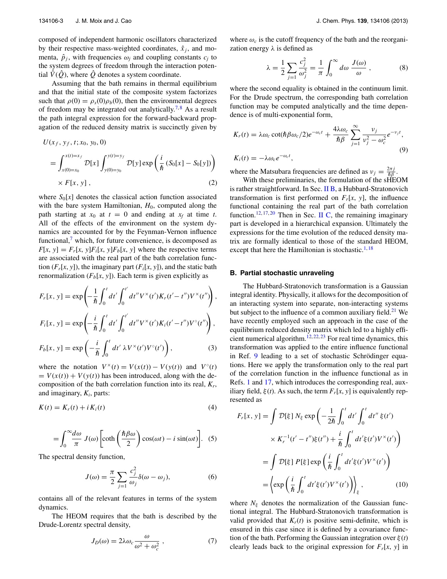composed of independent harmonic oscillators characterized by their respective mass-weighted coordinates,  $\hat{x}_i$ , and momenta,  $\hat{p}_i$ , with frequencies  $\omega_i$  and coupling constants  $c_i$  to the system degrees of freedom through the interaction potential  $\hat{V}(\hat{Q})$ , where  $\hat{Q}$  denotes a system coordinate.

Assuming that the bath remains in thermal equilibrium and that the initial state of the composite system factorizes such that  $\rho(0) = \rho_s(0)\rho_b(0)$ , then the environmental degrees of freedom may be integrated out analytically.<sup>[7,](#page-9-6)[8](#page-9-7)</sup> As a result the path integral expression for the forward-backward propagation of the reduced density matrix is succinctly given by

$$
U(x_f, y_f, t; x_0, y_0, 0)
$$
  
=  $\int_{x(0)=x_0}^{x(t)=x_f} \mathcal{D}[x] \int_{y(0)=y_0}^{y(t)=y_f} \mathcal{D}[y] \exp\left(\frac{i}{\hbar} (S_0[x] - S_0[y])\right)$   
×  $F[x, y]$ , (2)

where  $S_0[x]$  denotes the classical action function associated with the bare system Hamiltonian,  $H_0$ , computed along the path starting at  $x_0$  at  $t = 0$  and ending at  $x_f$  at time *t*. All of the effects of the environment on the system dynamics are accounted for by the Feynman-Vernon influence functional, $\frac{7}{7}$  $\frac{7}{7}$  $\frac{7}{7}$  which, for future convenience, is decomposed as  $F[x, y] = F_r[x, y]F_i[x, y]F_b[x, y]$  where the respective terms are associated with the real part of the bath correlation function  $(F_r[x, y])$ , the imaginary part  $(F_i[x, y])$ , and the static bath renormalization  $(F_b[x, y])$ . Each term is given explicitly as

$$
F_r[x, y] = \exp\left(-\frac{1}{\hbar} \int_0^t dt' \int_0^{t'} dt'' V^{\times}(t') K_r(t'-t'') V^{\times}(t'')\right),
$$
  
\n
$$
F_i[x, y] = \exp\left(-\frac{i}{\hbar} \int_0^t dt' \int_0^{t'} dt'' V^{\times}(t') K_i(t'-t'') V^{\circ}(t'')\right),
$$
  
\n
$$
F_b[x, y] = \exp\left(-\frac{i}{\hbar} \int_0^t dt' \lambda V^{\times}(t') V^{\circ}(t')\right),
$$
\n(3)

where the notation  $V^{\times}(t) = V(x(t)) - V(y(t))$  and  $V^{\circ}(t)$  $= V(x(t)) + V(y(t))$  has been introduced, along with the decomposition of the bath correlation function into its real, *Kr*, and imaginary, *Ki*, parts:

$$
K(t) = K_r(t) + i K_i(t)
$$
\n<sup>(4)</sup>

$$
= \int_0^\infty \frac{d\omega}{\pi} J(\omega) \left[ \coth\left(\frac{\hbar \beta \omega}{2}\right) \cos(\omega t) - i \sin(\omega t) \right]. \tag{5}
$$

The spectral density function,

$$
J(\omega) = \frac{\pi}{2} \sum_{j=1}^{\infty} \frac{c_j^2}{\omega_j} \delta(\omega - \omega_j),
$$
 (6)

contains all of the relevant features in terms of the system dynamics.

The HEOM requires that the bath is described by the Drude-Lorentz spectral density,

$$
J_D(\omega) = 2\lambda \omega_c \frac{\omega}{\omega^2 + \omega_c^2},\tag{7}
$$

where  $\omega_c$  is the cutoff frequency of the bath and the reorganization energy *λ* is defined as

<span id="page-3-3"></span>
$$
\lambda = \frac{1}{2} \sum_{j=1} \frac{c_j^2}{\omega_j^2} = \frac{1}{\pi} \int_0^\infty d\omega \, \frac{J(\omega)}{\omega} \,, \tag{8}
$$

where the second equality is obtained in the continuum limit. For the Drude spectrum, the corresponding bath correlation function may be computed analytically and the time dependence is of multi-exponential form,

$$
K_r(t) = \lambda \omega_c \cot(\hbar \beta \omega_c/2) e^{-\omega_c t} + \frac{4\lambda \omega_c}{\hbar \beta} \sum_{j=1}^{\infty} \frac{\nu_j}{\nu_j^2 - \omega_c^2} e^{-\nu_j t},
$$
  
(9)

where the Matsubara frequencies are defined as  $v_j = \frac{2\pi j}{\hbar \beta}$ .

With these preliminaries, the formulation of the sHEOM is rather straightforward. In Sec. [II B,](#page-3-0) a Hubbard-Stratonovich transformation is first performed on  $F_r[x, y]$ , the influence functional containing the real part of the bath correlation function.<sup>[12,](#page-9-9) [17,](#page-9-15) [20](#page-9-18)</sup> Then in Sec. [II C,](#page-4-0) the remaining imaginary part is developed in a hierarchical expansion. Ultimately the expressions for the time evolution of the reduced density matrix are formally identical to those of the standard HEOM, except that here the Hamiltonian is stochastic.<sup>[1,](#page-9-0) [18](#page-9-16)</sup>

#### <span id="page-3-0"></span>**B. Partial stochastic unraveling**

<span id="page-3-1"></span>The Hubbard-Stratonovich transformation is a Gaussian integral identity. Physically, it allows for the decomposition of an interacting system into separate, non-interacting systems but subject to the influence of a common auxiliary field.<sup>21</sup> We have recently employed such an approach in the case of the equilibrium reduced density matrix which led to a highly effi-cient numerical algorithm.<sup>[12,](#page-9-9) [22,](#page-9-20) [23](#page-9-21)</sup> For real time dynamics, this transformation was applied to the entire influence functional in Ref. [9](#page-9-8) leading to a set of stochastic Schrödinger equations. Here we apply the transformation only to the real part of the correlation function in the influence functional as in Refs. [1](#page-9-0) and [17,](#page-9-15) which introduces the corresponding real, auxiliary field,  $\xi(t)$ . As such, the term  $F_r[x, y]$  is equivalently represented as

$$
F_r[x, y] = \int \mathcal{D}[\xi] N_{\xi} \exp\left(-\frac{1}{2\hbar} \int_0^t dt' \int_0^t dt'' \xi(t')\right)
$$

$$
\times K_r^{-1}(t'-t'')\xi(t'') + \frac{i}{\hbar} \int_0^t dt' \xi(t')V^{\times}(t')\right)
$$

$$
= \int \mathcal{D}[\xi] P[\xi] \exp\left(\frac{i}{\hbar} \int_0^t dt' \xi(t')V^{\times}(t')\right)
$$

$$
= \left\langle \exp\left(\frac{i}{\hbar} \int_0^t dt' \xi(t')V^{\times}(t')\right) \right\rangle_{\xi}, \qquad (10)
$$

<span id="page-3-2"></span>where  $N_{\xi}$  denotes the normalization of the Gaussian functional integral. The Hubbard-Stratonovich transformation is valid provided that  $K_r(t)$  is positive semi-definite, which is ensured in this case since it is defined by a covariance function of the bath. Performing the Gaussian integration over *ξ* (*t*) clearly leads back to the original expression for  $F_r[x, y]$  in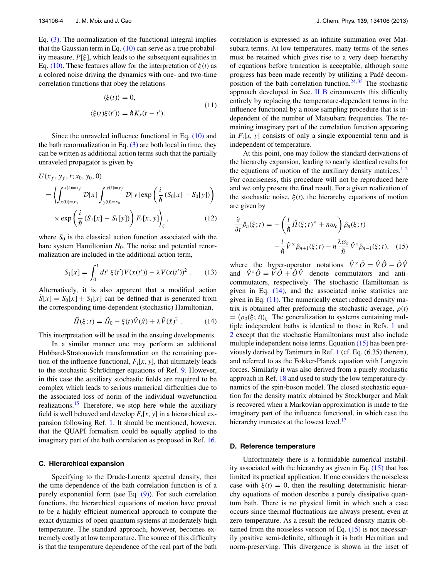Eq. [\(3\).](#page-3-1) The normalization of the functional integral implies that the Gaussian term in Eq.  $(10)$  can serve as a true probability measure, *P*[*ξ* ], which leads to the subsequent equalities in Eq. [\(10\).](#page-3-2) These features allow for the interpretation of *ξ* (*t*) as a colored noise driving the dynamics with one- and two-time correlation functions that obey the relations

$$
\langle \xi(t) \rangle = 0,
$$
  

$$
\langle \xi(t)\xi(t') \rangle = \hbar K_r(t - t').
$$
 (11)

Since the unraveled influence functional in Eq. [\(10\)](#page-3-2) and the bath renormalization in Eq.  $(3)$  are both local in time, they can be written as additional action terms such that the partially unraveled propagator is given by

$$
U(x_f, y_f, t; x_0, y_0, 0)
$$
  
=  $\left\langle \int_{x(0)=x_0}^{x(t)=x_f} \mathcal{D}[x] \int_{y(0)=y_0}^{y(t)=y_f} \mathcal{D}[y] \exp\left(\frac{i}{\hbar} (S_0[x] - S_0[y])\right) \right\rangle$   
×  $\exp\left(\frac{i}{\hbar} (S_1[x] - S_1[y])\right) F_i[x, y] \Big|_{\xi}$ , (12)

where  $S_0$  is the classical action function associated with the bare system Hamiltonian  $H_0$ . The noise and potential renormalization are included in the additional action term,

$$
S_1[x] = \int_0^t dt' \xi(t') V(x(t')) - \lambda V(x(t'))^2.
$$
 (13)

Alternatively, it is also apparent that a modified action  $S[x] = S_0[x] + S_1[x]$  can be defined that is generated from the corresponding time-dependent (stochastic) Hamiltonian,

$$
\tilde{H}(\xi;t) = \hat{H}_0 - \xi(t)\hat{V}(\hat{x}) + \lambda \hat{V}(\hat{x})^2.
$$
 (14)

This interpretation will be used in the ensuing developments.

In a similar manner one may perform an additional Hubbard-Stratonovich transformation on the remaining portion of the influence functional,  $F_i[x, y]$ , that ultimately leads to the stochastic Schrödinger equations of Ref. [9.](#page-9-8) However, in this case the auxiliary stochastic fields are required to be complex which leads to serious numerical difficulties due to the associated loss of norm of the individual wavefunction realizations.<sup>[15](#page-9-12)</sup> Therefore, we stop here while the auxiliary field is well behaved and develop  $F_i[x, y]$  in a hierarchical expansion following Ref. [1.](#page-9-0) It should be mentioned, however, that the QUAPI formalism could be equally applied to the imaginary part of the bath correlation as proposed in Ref. [16.](#page-9-14)

#### <span id="page-4-0"></span>**C. Hierarchical expansion**

Specifying to the Drude-Lorentz spectral density, then the time dependence of the bath correlation function is of a purely exponential form (see Eq. [\(9\)\)](#page-3-3). For such correlation functions, the hierarchical equations of motion have proved to be a highly efficient numerical approach to compute the exact dynamics of open quantum systems at moderately high temperature. The standard approach, however, becomes extremely costly at low temperature. The source of this difficulty is that the temperature dependence of the real part of the bath correlation is expressed as an infinite summation over Matsubara terms. At low temperatures, many terms of the series must be retained which gives rise to a very deep hierarchy of equations before truncation is acceptable, although some progress has been made recently by utilizing a Padé decom-position of the bath correlation function.<sup>24, [35](#page-9-23)</sup> The stochastic approach developed in Sec. [II B](#page-3-0) circumvents this difficulty entirely by replacing the temperature-dependent terms in the influence functional by a noise sampling procedure that is independent of the number of Matsubara frequencies. The remaining imaginary part of the correlation function appearing in  $F_i[x, y]$  consists of only a single exponential term and is independent of temperature.

<span id="page-4-2"></span>At this point, one may follow the standard derivations of the hierarchy expansion, leading to nearly identical results for the equations of motion of the auxiliary density matrices.<sup>1,[2](#page-9-1)</sup> For conciseness, this procedure will not be reproduced here and we only present the final result. For a given realization of the stochastic noise,  $\xi(t)$ , the hierarchy equations of motion are given by

<span id="page-4-3"></span>
$$
\frac{\partial}{\partial t}\hat{\rho}_n(\xi;t) = -\left(\frac{i}{\hbar}\tilde{H}(\xi;t)^{\times} + n\omega_c\right)\hat{\rho}_n(\xi;t) \n- \frac{i}{\hbar}\hat{V}^{\times}\hat{\rho}_{n+1}(\xi;t) - n\frac{\lambda\omega_c}{\hbar}\hat{V}^{\circ}\hat{\rho}_{n-1}(\xi;t), \quad (15)
$$

<span id="page-4-1"></span>where the hyper-operator notations  $\hat{V}^{\times} \hat{O} = \hat{V} \hat{O} - \hat{O} \hat{V}$ and  $\hat{V}^{\circ} \hat{O} = \hat{V} \hat{O} + \hat{O} \hat{V}$  denote commutators and anticommutators, respectively. The stochastic Hamiltonian is given in Eq. [\(14\),](#page-4-1) and the associated noise statistics are given in Eq.  $(11)$ . The numerically exact reduced density matrix is obtained after preforming the stochastic average,  $\rho(t)$  $= \langle \rho_0(\xi; t) \rangle_{\xi}$ . The generalization to systems containing multiple independent baths is identical to those in Refs. [1](#page-9-0) and [2](#page-9-1) except that the stochastic Hamiltonians must also include multiple independent noise terms. Equation [\(15\)](#page-4-3) has been previously derived by Tanimura in Ref. [1](#page-9-0) (cf. Eq. (6.35) therein), and referred to as the Fokker-Planck equation with Langevin forces. Similarly it was also derived from a purely stochastic approach in Ref. [18](#page-9-16) and used to study the low temperature dynamics of the spin-boson model. The closed stochastic equation for the density matrix obtained by Stockburger and Mak is recovered when a Markovian approximation is made to the imaginary part of the influence functional, in which case the hierarchy truncates at the lowest level.<sup>[17](#page-9-15)</sup>

#### **D. Reference temperature**

Unfortunately there is a formidable numerical instability associated with the hierarchy as given in Eq. [\(15\)](#page-4-3) that has limited its practical application. If one considers the noiseless case with  $\xi(t) = 0$ , then the resulting deterministic hierarchy equations of motion describe a purely dissipative quantum bath. There is no physical limit in which such a case occurs since thermal fluctuations are always present, even at zero temperature. As a result the reduced density matrix obtained from the noiseless version of Eq. [\(15\)](#page-4-3) is not necessarily positive semi-definite, although it is both Hermitian and norm-preserving. This divergence is shown in the inset of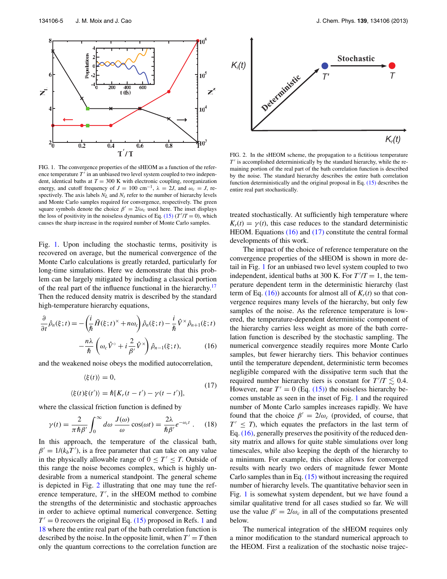<span id="page-5-0"></span>

FIG. 1. The convergence properties of the sHEOM as a function of the reference temperature  $T'$  in an unbiased two level system coupled to two independent, identical baths at  $T = 300$  K with electronic coupling, reorganization energy, and cutoff frequency of  $J = 100 \text{ cm}^{-1}$ ,  $\lambda = 2J$ , and  $\omega_c = J$ , respectively. The axis labels  $N_L$  and  $N_s$  refer to the number of hierarchy levels and Monte Carlo samples required for convergence, respectively. The green square symbols denote the choice  $\beta' = 2/\omega_c$  used here. The inset displays the loss of positivity in the noiseless dynamics of Eq.  $(15)$   $(T'/T = 0)$ , which causes the sharp increase in the required number of Monte Carlo samples.

Fig. [1.](#page-5-0) Upon including the stochastic terms, positivity is recovered on average, but the numerical convergence of the Monte Carlo calculations is greatly retarded, particularly for long-time simulations. Here we demonstrate that this problem can be largely mitigated by including a classical portion of the real part of the influence functional in the hierarchy.<sup>[17](#page-9-15)</sup> Then the reduced density matrix is described by the standard high-temperature hierarchy equations,

$$
\frac{\partial}{\partial t}\hat{\rho}_n(\xi;t) = -\left(\frac{i}{\hbar}\tilde{H}(\xi;t)^{\times} + n\omega_c\right)\hat{\rho}_n(\xi;t) - \frac{i}{\hbar}\hat{V}^{\times}\hat{\rho}_{n+1}(\xi;t) -\frac{n\lambda}{\hbar}\left(\omega_c\hat{V}^{\circ} + i\frac{2}{\beta'}\hat{V}^{\times}\right)\hat{\rho}_{n-1}(\xi;t),\tag{16}
$$

and the weakened noise obeys the modified autocorrelation,

$$
\langle \xi(t) \rangle = 0,
$$
  

$$
\langle \xi(t)\xi(t') \rangle = \hbar [K_r(t - t') - \gamma(t - t')],
$$
\n(17)

where the classical friction function is defined by

$$
\gamma(t) = \frac{2}{\pi \hbar \beta'} \int_0^\infty d\omega \, \frac{J(\omega)}{\omega} \cos(\omega t) = \frac{2\lambda}{\hbar \beta'} e^{-\omega_c t} \ . \tag{18}
$$

In this approach, the temperature of the classical bath,  $\beta' = 1/(k_b T')$ , is a free parameter that can take on any value in the physically allowable range of  $0 \le T' \le T$ . Outside of this range the noise becomes complex, which is highly undesirable from a numerical standpoint. The general scheme is depicted in Fig. [2](#page-5-1) illustrating that one may tune the reference temperature,  $T'$ , in the sHEOM method to combine the strengths of the deterministic and stochastic approaches in order to achieve optimal numerical convergence. Setting  $T' = 0$  recovers the original Eq. [\(15\)](#page-4-3) proposed in Refs. [1](#page-9-0) and [18](#page-9-16) where the entire real part of the bath correlation function is described by the noise. In the opposite limit, when  $T' = T$  then only the quantum corrections to the correlation function are

<span id="page-5-1"></span>

FIG. 2. In the sHEOM scheme, the propagation to a fictitious temperature  $T'$  is accomplished deterministically by the standard hierarchy, while the remaining portion of the real part of the bath correlation function is described by the noise. The standard hierarchy describes the entire bath correlation function deterministically and the original proposal in Eq. [\(15\)](#page-4-3) describes the entire real part stochastically.

treated stochastically. At sufficiently high temperature where  $K_r(t) = \gamma(t)$ , this case reduces to the standard deterministic HEOM. Equations [\(16\)](#page-5-2) and [\(17\)](#page-5-3) constitute the central formal developments of this work.

<span id="page-5-3"></span><span id="page-5-2"></span>The impact of the choice of reference temperature on the convergence properties of the sHEOM is shown in more detail in Fig. [1](#page-5-0) for an unbiased two level system coupled to two independent, identical baths at 300 K. For  $T'/T = 1$ , the temperature dependent term in the deterministic hierarchy (last term of Eq.  $(16)$ ) accounts for almost all of  $K_r(t)$  so that convergence requires many levels of the hierarchy, but only few samples of the noise. As the reference temperature is lowered, the temperature-dependent deterministic component of the hierarchy carries less weight as more of the bath correlation function is described by the stochastic sampling. The numerical convergence steadily requires more Monte Carlo samples, but fewer hierarchy tiers. This behavior continues until the temperature dependent, deterministic term becomes negligible compared with the dissipative term such that the required number hierarchy tiers is constant for  $T'/T \lesssim 0.4$ . However, near  $T' = 0$  (Eq. [\(15\)\)](#page-4-3) the noiseless hierarchy becomes unstable as seen in the inset of Fig. [1](#page-5-0) and the required number of Monte Carlo samples increases rapidly. We have found that the choice  $\beta' = 2/\omega_c$  (provided, of course, that  $T' \leq T$ , which equates the prefactors in the last term of Eq. [\(16\),](#page-5-2) generally preserves the positivity of the reduced density matrix and allows for quite stable simulations over long timescales, while also keeping the depth of the hierarchy to a minimum. For example, this choice allows for converged results with nearly two orders of magnitude fewer Monte Carlo samples than in Eq. [\(15\)](#page-4-3) without increasing the required number of hierarchy levels. The quantitative behavior seen in Fig. [1](#page-5-0) is somewhat system dependent, but we have found a similar qualitative trend for all cases studied so far. We will use the value  $\beta' = 2/\omega_c$  in all of the computations presented below.

The numerical integration of the sHEOM requires only a minor modification to the standard numerical approach to the HEOM. First a realization of the stochastic noise trajec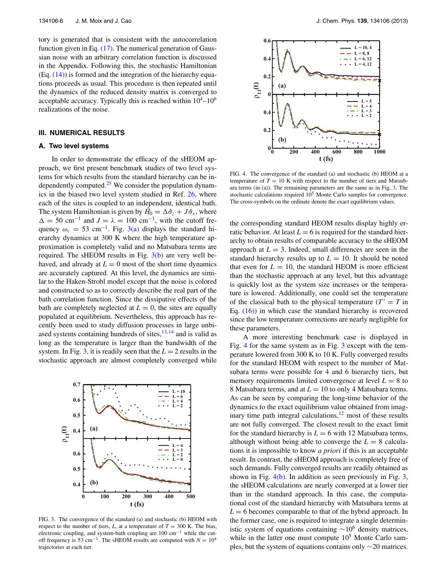tory is generated that is consistent with the autocorrelation function given in Eq. [\(17\).](#page-5-3) The numerical generation of Gaussian noise with an arbitrary correlation function is discussed in the Appendix. Following this, the stochastic Hamiltonian  $(Eq. (14))$  $(Eq. (14))$  is formed and the integration of the hierarchy equations proceeds as usual. This procedure is then repeated until the dynamics of the reduced density matrix is converged to acceptable accuracy. Typically this is reached within  $10^4$ – $10^6$ realizations of the noise.

## <span id="page-6-0"></span>**III. NUMERICAL RESULTS**

#### **A. Two level systems**

In order to demonstrate the efficacy of the sHEOM approach, we first present benchmark studies of two level systems for which results from the standard hierarchy can be in-dependently computed.<sup>[25](#page-9-24)</sup> We consider the population dynamics in the biased two level system studied in Ref. [26,](#page-9-25) where each of the sites is coupled to an independent, identical bath. The system Hamiltonian is given by  $\hat{H}_0 = \Delta \hat{\sigma}_z + J \hat{\sigma}_x$ , where  $\Delta = 50$  cm<sup>-1</sup> and  $J = \lambda = 100$  cm<sup>-1</sup>, with the cutoff frequency  $\omega_c = 53$  cm<sup>-1</sup>. Fig. [3\(a\)](#page-6-1) displays the standard hierarchy dynamics at 300 K where the high temperature approximation is completely valid and no Matsubara terms are required. The sHEOM results in Fig.  $3(b)$  are very well behaved, and already at  $L = 0$  most of the short time dynamics are accurately captured. At this level, the dynamics are similar to the Haken-Strobl model except that the noise is colored and constructed so as to correctly describe the real part of the bath correlation function. Since the dissipative effects of the bath are completely neglected at  $L = 0$ , the sites are equally populated at equilibrium. Nevertheless, this approach has recently been used to study diffusion processes in large unbiased systems containing hundreds of sites, $13, 14$  $13, 14$  and is valid as long as the temperature is larger than the bandwidth of the system. In Fig. [3,](#page-6-1) it is readily seen that the  $L = 2$  results in the stochastic approach are almost completely converged while

<span id="page-6-1"></span>

FIG. 3. The convergence of the standard (a) and stochastic (b) HEOM with respect to the number of tiers,  $L$ , at a temperature of  $T = 300$  K. The bias, electronic coupling, and system-bath coupling are 100 cm−<sup>1</sup> while the cutoff frequency is 53 cm<sup>-1</sup>. The sHEOM results are computed with  $N = 10^4$ trajectories at each tier.

<span id="page-6-2"></span>

FIG. 4. The convergence of the standard (a) and stochastic (b) HEOM at a temperature of  $T = 10$  K with respect to the number of tiers and Matsubara terms (in (a)). The remaining parameters are the same as in Fig. [3.](#page-6-1) The stochastic calculations required  $10<sup>5</sup>$  Monte Carlo samples for convergence. The cross-symbols on the ordinate denote the exact equilibrium values.

the corresponding standard HEOM results display highly erratic behavior. At least  $L = 6$  is required for the standard hierarchy to obtain results of comparable accuracy to the sHEOM approach at  $L = 3$ . Indeed, small differences are seen in the standard hierarchy results up to  $L = 10$ . It should be noted that even for  $L = 10$ , the standard HEOM is more efficient than the stochastic approach at any level, but this advantage is quickly lost as the system size increases or the temperature is lowered. Additionally, one could set the temperature of the classical bath to the physical temperature  $(T' = T)$  in Eq.  $(16)$  in which case the standard hierarchy is recovered since the low temperature corrections are nearly negligible for these parameters.

A more interesting benchmark case is displayed in Fig. [4](#page-6-2) for the same system as in Fig. [3](#page-6-1) except with the temperature lowered from 300 K to 10 K. Fully converged results for the standard HEOM with respect to the number of Matsubara terms were possible for 4 and 6 hierarchy tiers, but memory requirements limited convergence at level  $L = 8$  to 8 Matsubara terms, and at *L* = 10 to only 4 Matsubara terms. As can be seen by comparing the long-time behavior of the dynamics to the exact equilibrium value obtained from imaginary time path integral calculations, $12$  most of these results are not fully converged. The closest result to the exact limit for the standard hierarchy is  $L = 6$  with 12 Matsubara terms, although without being able to converge the  $L = 8$  calculations it is impossible to know *a priori* if this is an acceptable result. In contrast, the sHEOM approach is completely free of such demands. Fully converged results are readily obtained as shown in Fig.  $4(b)$ . In addition as seen previously in Fig. [3,](#page-6-1) the sHEOM calculations are nearly converged at a lower tier than in the standard approach. In this case, the computational cost of the standard hierarchy with Matsubara terms at  $L = 6$  becomes comparable to that of the hybrid approach. In the former case, one is required to integrate a single deterministic system of equations containing  $∼10<sup>6</sup>$  density matrices, while in the latter one must compute  $10<sup>5</sup>$  Monte Carlo samples, but the system of equations contains only ∼20 matrices.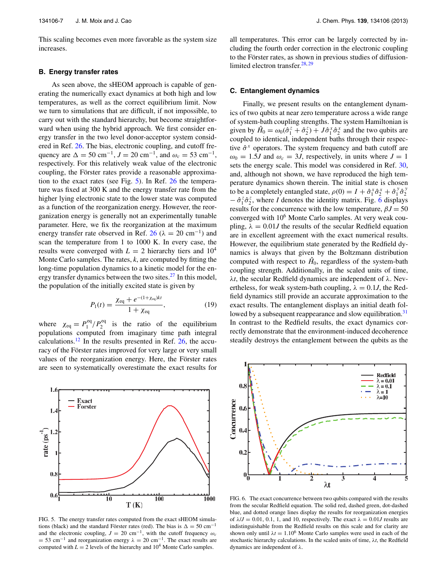This scaling becomes even more favorable as the system size increases.

#### **B. Energy transfer rates**

As seen above, the sHEOM approach is capable of generating the numerically exact dynamics at both high and low temperatures, as well as the correct equilibrium limit. Now we turn to simulations that are difficult, if not impossible, to carry out with the standard hierarchy, but become straightforward when using the hybrid approach. We first consider energy transfer in the two level donor-acceptor system considered in Ref. [26.](#page-9-25) The bias, electronic coupling, and cutoff frequency are  $\Delta = 50 \text{ cm}^{-1}$ ,  $J = 20 \text{ cm}^{-1}$ , and  $\omega_c = 53 \text{ cm}^{-1}$ , respectively. For this relatively weak value of the electronic coupling, the Förster rates provide a reasonable approximation to the exact rates (see Fig. [5\)](#page-7-0). In Ref. [26](#page-9-25) the temperature was fixed at 300 K and the energy transfer rate from the higher lying electronic state to the lower state was computed as a function of the reorganization energy. However, the reorganization energy is generally not an experimentally tunable parameter. Here, we fix the reorganization at the maximum energy transfer rate observed in Ref. [26](#page-9-25) ( $\lambda = 20$  cm<sup>-1</sup>) and scan the temperature from 1 to 1000 K. In every case, the results were converged with  $L = 2$  hierarchy tiers and  $10<sup>4</sup>$ Monte Carlo samples. The rates, *k*, are computed by fitting the long-time population dynamics to a kinetic model for the energy transfer dynamics between the two sites.<sup>27</sup> In this model, the population of the initially excited state is given by

$$
P_1(t) = \frac{\chi_{\text{eq}} + e^{-(1 + \chi_{\text{eq}})kt}}{1 + \chi_{\text{eq}}},\tag{19}
$$

where  $\chi_{\text{eq}} = P_1^{\text{eq}} / P_2^{\text{eq}}$  is the ratio of the equilibrium populations computed from imaginary time path integral calculations.<sup>12</sup> In the results presented in Ref.  $26$ , the accuracy of the Förster rates improved for very large or very small values of the reorganization energy. Here, the Förster rates are seen to systematically overestimate the exact results for

<span id="page-7-0"></span>

FIG. 5. The energy transfer rates computed from the exact sHEOM simulations (black) and the standard Förster rates (red). The bias is  $\Delta = 50 \text{ cm}^{-1}$ and the electronic coupling,  $J = 20$  cm<sup>-1</sup>, with the cutoff frequency  $\omega_c$  $= 53$  cm<sup>-1</sup> and reorganization energy  $\lambda = 20$  cm<sup>-1</sup>. The exact results are computed with  $L = 2$  levels of the hierarchy and  $10^4$  Monte Carlo samples.

all temperatures. This error can be largely corrected by including the fourth order correction in the electronic coupling to the Förster rates, as shown in previous studies of diffusionlimited electron transfer. $28, 29$  $28, 29$ 

#### **C. Entanglement dynamics**

Finally, we present results on the entanglement dynamics of two qubits at near zero temperature across a wide range of system-bath coupling strengths. The system Hamiltonian is given by  $\hat{H}_0 = \omega_0(\hat{\sigma}_1^z + \hat{\sigma}_2^z) + J\hat{\sigma}_1^x \hat{\sigma}_2^x$  and the two qubits are coupled to identical, independent baths through their respective  $\hat{\sigma}^x$  operators. The system frequency and bath cutoff are  $\omega_0 = 1.5J$  and  $\omega_c = 3J$ , respectively, in units where  $J = 1$ sets the energy scale. This model was considered in Ref. [30,](#page-9-29) and, although not shown, we have reproduced the high temperature dynamics shown therein. The initial state is chosen to be a completely entangled state,  $\rho(0) = I + \hat{\sigma}_1^x \hat{\sigma}_2^x + \hat{\sigma}_1^y \hat{\sigma}_2^y$  $-\hat{\sigma}_1^z \hat{\sigma}_2^z$ , where *I* denotes the identity matrix. Fig. [6](#page-7-1) displays results for the concurrence with the low temperature,  $\beta J = 50$ converged with  $10<sup>6</sup>$  Monte Carlo samples. At very weak coupling,  $\lambda = 0.01J$  the results of the secular Redfield equation are in excellent agreement with the exact numerical results. However, the equilibrium state generated by the Redfield dynamics is always that given by the Boltzmann distribution computed with respect to  $\hat{H}_0$ , regardless of the system-bath coupling strength. Additionally, in the scaled units of time, *λt*, the secular Redfield dynamics are independent of *λ*. Nevertheless, for weak system-bath coupling,  $\lambda = 0.1J$ , the Redfield dynamics still provide an accurate approximation to the exact results. The entanglement displays an initial death fol-lowed by a subsequent reappearance and slow equilibration.<sup>[31](#page-9-30)</sup> In contrast to the Redfield results, the exact dynamics correctly demonstrate that the environment-induced decoherence steadily destroys the entanglement between the qubits as the

<span id="page-7-1"></span>

FIG. 6. The exact concurrence between two qubits compared with the results from the secular Redfield equation. The solid red, dashed green, dot-dashed blue, and dotted orange lines display the results for reorganization energies of  $\lambda/J = 0.01, 0.1, 1,$  and 10, respectively. The exact  $\lambda = 0.01J$  results are indistinguishable from the Redfield results on this scale and for clarity are shown only until  $\lambda t = 1.10^6$  Monte Carlo samples were used in each of the stochastic hierarchy calculations. In the scaled units of time, *λt*, the Redfield dynamics are independent of *λ*.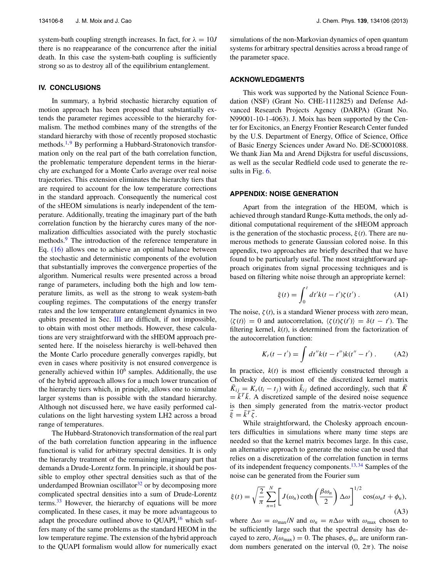system-bath coupling strength increases. In fact, for  $\lambda = 10J$ there is no reappearance of the concurrence after the initial death. In this case the system-bath coupling is sufficiently strong so as to destroy all of the equilibrium entanglement.

# **IV. CONCLUSIONS**

In summary, a hybrid stochastic hierarchy equation of motion approach has been proposed that substantially extends the parameter regimes accessible to the hierarchy formalism. The method combines many of the strengths of the standard hierarchy with those of recently proposed stochastic methods.<sup>[1,](#page-9-0)[9](#page-9-8)</sup> By performing a Hubbard-Stratonovich transformation only on the real part of the bath correlation function, the problematic temperature dependent terms in the hierarchy are exchanged for a Monte Carlo average over real noise trajectories. This extension eliminates the hierarchy tiers that are required to account for the low temperature corrections in the standard approach. Consequently the numerical cost of the sHEOM simulations is nearly independent of the temperature. Additionally, treating the imaginary part of the bath correlation function by the hierarchy cures many of the normalization difficulties associated with the purely stochastic methods.<sup>[9](#page-9-8)</sup> The introduction of the reference temperature in Eq. [\(16\)](#page-5-2) allows one to achieve an optimal balance between the stochastic and deterministic components of the evolution that substantially improves the convergence properties of the algorithm. Numerical results were presented across a broad range of parameters, including both the high and low temperature limits, as well as the strong to weak system-bath coupling regimes. The computations of the energy transfer rates and the low temperature entanglement dynamics in two qubits presented in Sec. [III](#page-6-0) are difficult, if not impossible, to obtain with most other methods. However, these calculations are very straightforward with the sHEOM approach presented here. If the noiseless hierarchy is well-behaved then the Monte Carlo procedure generally converges rapidly, but even in cases where positivity is not ensured convergence is generally achieved within  $10<sup>6</sup>$  samples. Additionally, the use of the hybrid approach allows for a much lower truncation of the hierarchy tiers which, in principle, allows one to simulate larger systems than is possible with the standard hierarchy. Although not discussed here, we have easily performed calculations on the light harvesting system LH2 across a broad range of temperatures.

The Hubbard-Stratonovich transformation of the real part of the bath correlation function appearing in the influence functional is valid for arbitrary spectral densities. It is only the hierarchy treatment of the remaining imaginary part that demands a Drude-Lorentz form. In principle, it should be possible to employ other spectral densities such as that of the underdamped Brownian oscillator $32$  or by decomposing more complicated spectral densities into a sum of Drude-Lorentz terms. $33$  However, the hierarchy of equations will be more complicated. In these cases, it may be more advantageous to adapt the procedure outlined above to QUAPI,<sup>[16](#page-9-14)</sup> which suffers many of the same problems as the standard HEOM in the low temperature regime. The extension of the hybrid approach to the QUAPI formalism would allow for numerically exact simulations of the non-Markovian dynamics of open quantum systems for arbitrary spectral densities across a broad range of the parameter space.

#### **ACKNOWLEDGMENTS**

This work was supported by the National Science Foundation (NSF) (Grant No. CHE-1112825) and Defense Advanced Research Projects Agency (DARPA) (Grant No. N99001-10-1-4063). J. Moix has been supported by the Center for Excitonics, an Energy Frontier Research Center funded by the U.S. Department of Energy, Office of Science, Office of Basic Energy Sciences under Award No. DE-SC0001088. We thank Jian Ma and Arend Dijkstra for useful discussions, as well as the secular Redfield code used to generate the results in Fig. [6.](#page-7-1)

### **APPENDIX: NOISE GENERATION**

Apart from the integration of the HEOM, which is achieved through standard Runge-Kutta methods, the only additional computational requirement of the sHEOM approach is the generation of the stochastic process,  $\xi(t)$ . There are numerous methods to generate Gaussian colored noise. In this appendix, two approaches are briefly described that we have found to be particularly useful. The most straightforward approach originates from signal processing techniques and is based on filtering white noise through an appropriate kernel:

$$
\xi(t) = \int_0^t dt' k(t - t') \zeta(t').
$$
 (A1)

The noise,  $\zeta(t)$ , is a standard Wiener process with zero mean,  $\langle \zeta(t) \rangle = 0$  and autocorrelation,  $\langle \zeta(t) \zeta(t') \rangle = \delta(t - t')$ . The filtering kernel, *k*(*t*), is determined from the factorization of the autocorrelation function:

$$
K_r(t - t') = \int dt'' k(t - t'') k(t'' - t') . \tag{A2}
$$

In practice,  $k(t)$  is most efficiently constructed through a Cholesky decomposition of the discretized kernel matrix  $\bar{K}_{ij} = K_r(t_i - t_j)$  with  $\bar{k}_{ij}$  defined accordingly, such that  $\bar{K}$  $= \bar{k}^T \bar{k}$ . A discretized sample of the desired noise sequence is then simply generated from the matrix-vector product  $\vec{\xi} = \vec{k}^T \vec{\zeta}$ .

While straightforward, the Cholesky approach encounters difficulties in simulations where many time steps are needed so that the kernel matrix becomes large. In this case, an alternative approach to generate the noise can be used that relies on a discretization of the correlation function in terms of its independent frequency components.<sup>13, [34](#page-9-33)</sup> Samples of the noise can be generated from the Fourier sum

<span id="page-8-0"></span>
$$
\xi(t) = \sqrt{\frac{2}{\pi}} \sum_{n=1}^{N} \left[ J(\omega_n) \coth\left(\frac{\beta \omega_n}{2}\right) \Delta \omega \right]^{1/2} \cos(\omega_n t + \phi_n),\tag{A3}
$$

where  $\Delta \omega = \omega_{\text{max}}/N$  and  $\omega_n = n \Delta \omega$  with  $\omega_{\text{max}}$  chosen to be sufficiently large such that the spectral density has decayed to zero,  $J(\omega_{\text{max}}) = 0$ . The phases,  $\phi_n$ , are uniform random numbers generated on the interval  $(0, 2\pi)$ . The noise